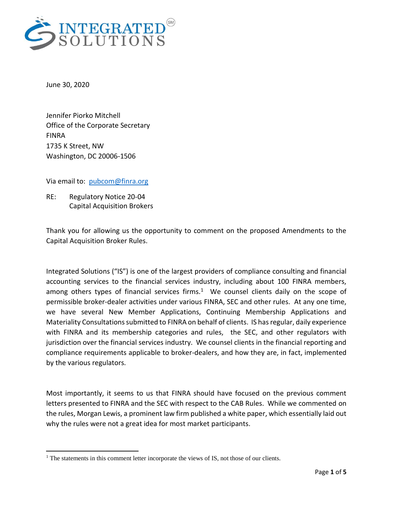

June 30, 2020

 $\overline{\phantom{a}}$ 

Jennifer Piorko Mitchell Office of the Corporate Secretary FINRA 1735 K Street, NW Washington, DC 20006-1506

Via email to: [pubcom@finra.org](mailto:pubcom@finra.org)

RE: Regulatory Notice 20-04 Capital Acquisition Brokers

Thank you for allowing us the opportunity to comment on the proposed Amendments to the Capital Acquisition Broker Rules.

Integrated Solutions ("IS") is one of the largest providers of compliance consulting and financial accounting services to the financial services industry, including about 100 FINRA members, among others types of financial services firms. $1$  We counsel clients daily on the scope of permissible broker-dealer activities under various FINRA, SEC and other rules. At any one time, we have several New Member Applications, Continuing Membership Applications and Materiality Consultations submitted to FINRA on behalf of clients. IS has regular, daily experience with FINRA and its membership categories and rules, the SEC, and other regulators with jurisdiction over the financial services industry. We counsel clients in the financial reporting and compliance requirements applicable to broker-dealers, and how they are, in fact, implemented by the various regulators.

Most importantly, it seems to us that FINRA should have focused on the previous comment letters presented to FINRA and the SEC with respect to the CAB Rules. While we commented on the rules, Morgan Lewis, a prominent law firm published a white paper, which essentially laid out why the rules were not a great idea for most market participants.

<sup>&</sup>lt;sup>1</sup> The statements in this comment letter incorporate the views of IS, not those of our clients.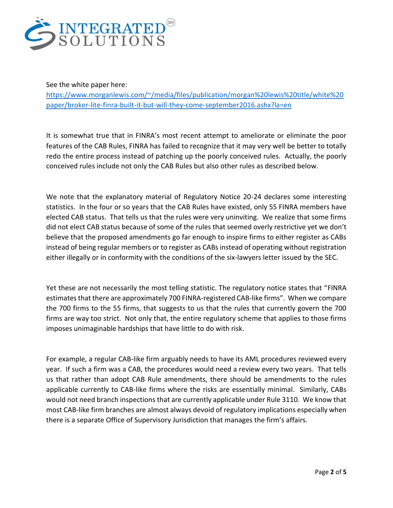

See the white paper here:

[https://www.morganlewis.com/~/media/files/publication/morgan%20lewis%20title/white%20](https://www.morganlewis.com/~/media/files/publication/morgan%20lewis%20title/white%20paper/broker-lite-finra-built-it-but-will-they-come-september2016.ashx?la=en) [paper/broker-lite-finra-built-it-but-will-they-come-september2016.ashx?la=en](https://www.morganlewis.com/~/media/files/publication/morgan%20lewis%20title/white%20paper/broker-lite-finra-built-it-but-will-they-come-september2016.ashx?la=en)

It is somewhat true that in FINRA's most recent attempt to ameliorate or eliminate the poor features of the CAB Rules, FINRA has failed to recognize that it may very well be better to totally redo the entire process instead of patching up the poorly conceived rules. Actually, the poorly conceived rules include not only the CAB Rules but also other rules as described below.

We note that the explanatory material of Regulatory Notice 20-24 declares some interesting statistics. In the four or so years that the CAB Rules have existed, only 55 FINRA members have elected CAB status. That tells us that the rules were very uninviting. We realize that some firms did not elect CAB status because of some of the rules that seemed overly restrictive yet we don't believe that the proposed amendments go far enough to inspire firms to either register as CABs instead of being regular members or to register as CABs instead of operating without registration either illegally or in conformity with the conditions of the six-lawyers letter issued by the SEC.

Yet these are not necessarily the most telling statistic. The regulatory notice states that "FINRA estimates that there are approximately 700 FINRA-registered CAB-like firms". When we compare the 700 firms to the 55 firms, that suggests to us that the rules that currently govern the 700 firms are way too strict. Not only that, the entire regulatory scheme that applies to those firms imposes unimaginable hardships that have little to do with risk.

For example, a regular CAB-like firm arguably needs to have its AML procedures reviewed every year. If such a firm was a CAB, the procedures would need a review every two years. That tells us that rather than adopt CAB Rule amendments, there should be amendments to the rules applicable currently to CAB-like firms where the risks are essentially minimal. Similarly, CABs would not need branch inspections that are currently applicable under Rule 3110. We know that most CAB-like firm branches are almost always devoid of regulatory implications especially when there is a separate Office of Supervisory Jurisdiction that manages the firm's affairs.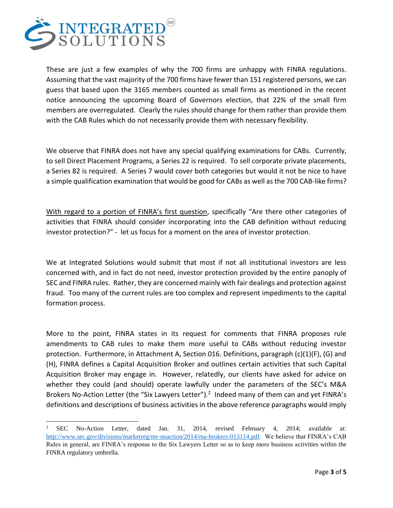

 $\overline{a}$ 

These are just a few examples of why the 700 firms are unhappy with FINRA regulations. Assuming that the vast majority of the 700 firms have fewer than 151 registered persons, we can guess that based upon the 3165 members counted as small firms as mentioned in the recent notice announcing the upcoming Board of Governors election, that 22% of the small firm members are overregulated. Clearly the rules should change for them rather than provide them with the CAB Rules which do not necessarily provide them with necessary flexibility.

We observe that FINRA does not have any special qualifying examinations for CABs. Currently, to sell Direct Placement Programs, a Series 22 is required. To sell corporate private placements, a Series 82 is required. A Series 7 would cover both categories but would it not be nice to have a simple qualification examination that would be good for CABs as well as the 700 CAB-like firms?

With regard to a portion of FINRA's first question, specifically "Are there other categories of activities that FINRA should consider incorporating into the CAB definition without reducing investor protection?" - let us focus for a moment on the area of investor protection.

We at Integrated Solutions would submit that most if not all institutional investors are less concerned with, and in fact do not need, investor protection provided by the entire panoply of SEC and FINRA rules. Rather, they are concerned mainly with fair dealings and protection against fraud. Too many of the current rules are too complex and represent impediments to the capital formation process.

More to the point, FINRA states in its request for comments that FINRA proposes rule amendments to CAB rules to make them more useful to CABs without reducing investor protection. Furthermore, in Attachment A, Section 016. Definitions, paragraph (c)(1)(F), (G) and (H), FINRA defines a Capital Acquisition Broker and outlines certain activities that such Capital Acquisition Broker may engage in. However, relatedly, our clients have asked for advice on whether they could (and should) operate lawfully under the parameters of the SEC's M&A Brokers No-Action Letter (the "Six Lawyers Letter").<sup>2</sup> Indeed many of them can and yet FINRA's definitions and descriptions of business activities in the above reference paragraphs would imply

<sup>2</sup> SEC No-Action Letter, dated Jan. 31, 2014, revised February 4, 2014; available at: [http://www.sec.gov/divisions/marketreg/mr-noaction/2014/ma-brokers-013114.pdf.](http://www.sec.gov/divisions/marketreg/mr-noaction/2014/ma-brokers-013114.pdf) We believe that FINRA's CAB Rules in general, are FINRA's response to the Six Lawyers Letter so as to keep more business activities within the FINRA regulatory umbrella.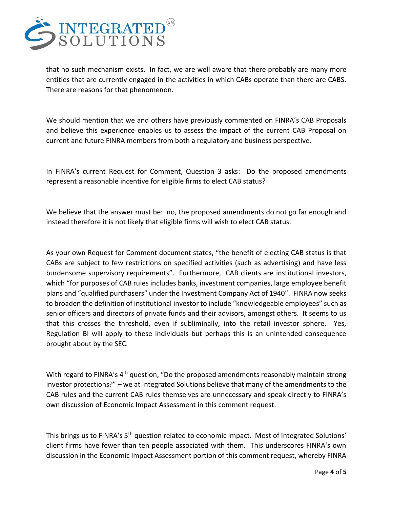

that no such mechanism exists. In fact, we are well aware that there probably are many more entities that are currently engaged in the activities in which CABs operate than there are CABS. There are reasons for that phenomenon.

We should mention that we and others have previously commented on FINRA's CAB Proposals and believe this experience enables us to assess the impact of the current CAB Proposal on current and future FINRA members from both a regulatory and business perspective.

In FINRA's current Request for Comment, Question 3 asks: Do the proposed amendments represent a reasonable incentive for eligible firms to elect CAB status?

We believe that the answer must be: no, the proposed amendments do not go far enough and instead therefore it is not likely that eligible firms will wish to elect CAB status.

As your own Request for Comment document states, "the benefit of electing CAB status is that CABs are subject to few restrictions on specified activities (such as advertising) and have less burdensome supervisory requirements". Furthermore, CAB clients are institutional investors, which "for purposes of CAB rules includes banks, investment companies, large employee benefit plans and "qualified purchasers" under the Investment Company Act of 1940". FINRA now seeks to broaden the definition of institutional investor to include "knowledgeable employees" such as senior officers and directors of private funds and their advisors, amongst others. It seems to us that this crosses the threshold, even if subliminally, into the retail investor sphere. Yes, Regulation BI will apply to these individuals but perhaps this is an unintended consequence brought about by the SEC.

With regard to FINRA's 4<sup>th</sup> question, "Do the proposed amendments reasonably maintain strong investor protections?" – we at Integrated Solutions believe that many of the amendments to the CAB rules and the current CAB rules themselves are unnecessary and speak directly to FINRA's own discussion of Economic Impact Assessment in this comment request.

This brings us to FINRA's 5<sup>th</sup> question related to economic impact. Most of Integrated Solutions' client firms have fewer than ten people associated with them. This underscores FINRA's own discussion in the Economic Impact Assessment portion of this comment request, whereby FINRA